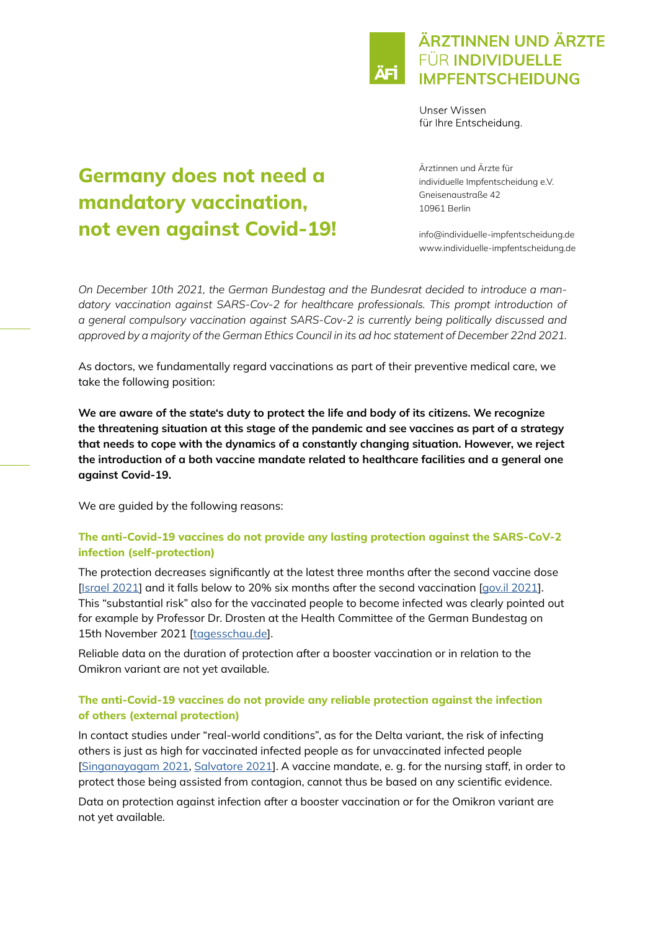# ÄRZTINNEN UND ÄRZTE **FÜR INDIVIDUELLE IMPFENTSCHEIDUNG**

Unser Wissen für Ihre Entscheidung.

# Germany does not need a mandatory vaccination, not even against Covid-19!

Ärztinnen und Ärzte für individuelle Impfentscheidung e.V. Gneisenaustraße 42 10961 Berlin

info@individuelle-impfentscheidung.de www.individuelle-impfentscheidung.de

*On December 10th 2021, the German Bundestag and the Bundesrat decided to introduce a mandatory vaccination against SARS-Cov-2 for healthcare professionals. This prompt introduction of a general compulsory vaccination against SARS-Cov-2 is currently being politically discussed and approved by a majority of the German Ethics Council in its ad hoc statement of December 22nd 2021.*

As doctors, we fundamentally regard vaccinations as part of their preventive medical care, we take the following position:

We are aware of the state's duty to protect the life and body of its citizens. We recognize the threatening situation at this stage of the pandemic and see vaccines as part of a strategy that needs to cope with the dynamics of a constantly changing situation. However, we reject the introduction of a both vaccine mandate related to healthcare facilities and a general one against Covid-19.

We are guided by the following reasons:

# The anti-Covid-19 vaccines do not provide any lasting protection against the SARS-CoV-2 infection (self-protection)

The protection decreases significantly at the latest three months after the second vaccine dose [\[Israel 2021\]](https://www.bmj.com/content/375/bmj-2021-067873) and it falls below to 20% six months after the second vaccination [[gov.il 2021\]](https://www.gov.il/BlobFolder/reports/vaccine-efficacy-safety-follow-up-committee/he/files_publications_corona_two-dose-vaccination-data.pdf). This "substantial risk" also for the vaccinated people to become infected was clearly pointed out for example by Professor Dr. Drosten at the Health Committee of the German Bundestag on 15th November 2021 [[tagesschau.de\]](https://www.tagesschau.de/newsticker/liveblog-coronavirus-montag-235.html#Drosten-Geimpfte-mit-substanziellem-Risiko).

Reliable data on the duration of protection after a booster vaccination or in relation to the Omikron variant are not yet available.

#### The anti-Covid-19 vaccines do not provide any reliable protection against the infection of others (external protection)

In contact studies under "real-world conditions", as for the Delta variant, the risk of infecting others is just as high for vaccinated infected people as for unvaccinated infected people [\[Singanayagam 2021,](https://www.thelancet.com/journals/laninf/article/PIIS1473-3099(21)00648-4/fulltext) [Salvatore 2021](https://www.medrxiv.org/content/10.1101/2021.11.12.21265796v1)]. A vaccine mandate, e. g. for the nursing staff, in order to protect those being assisted from contagion, cannot thus be based on any scientific evidence.

Data on protection against infection after a booster vaccination or for the Omikron variant are not yet available.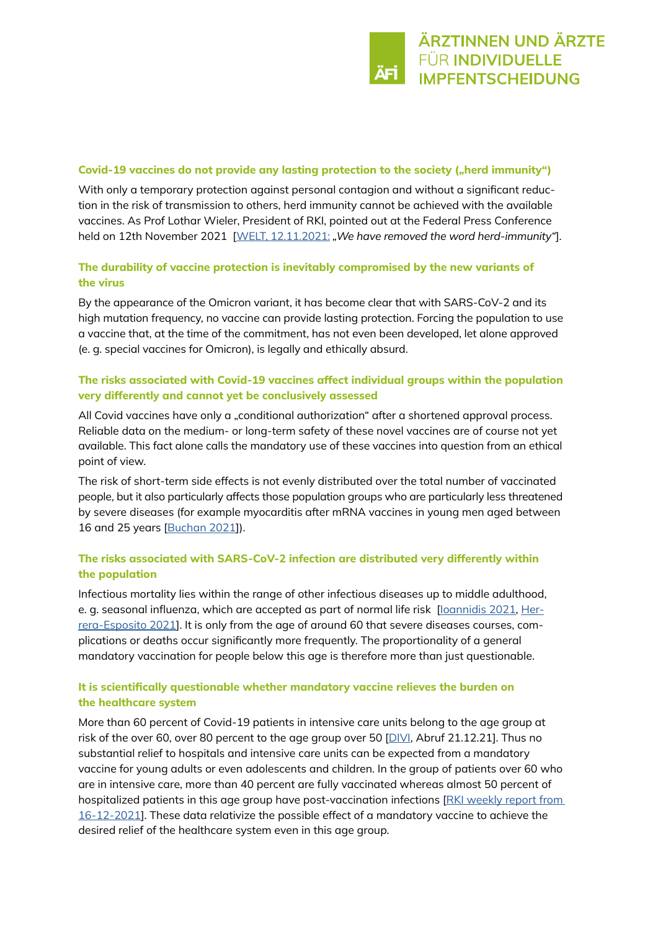#### Covid-19 vaccines do not provide any lasting protection to the society ("herd immunity")

With only a temporary protection against personal contagion and without a significant reduction in the risk of transmission to others, herd immunity cannot be achieved with the available vaccines. As Prof Lothar Wieler, President of RKI, pointed out at the Federal Press Conference held on 12th November 2021 [[WELT, 12.11.2021:](https://www.welt.de/politik/deutschland/article235020290/Coronavirus-Das-Wort-Herdenimmunitaet-haben-wir-gestrichen-sagt-RKI-Chef-Wieler.html) *"We have removed the word herd-immunity"*].

# The durability of vaccine protection is inevitably compromised by the new variants of the virus

By the appearance of the Omicron variant, it has become clear that with SARS-CoV-2 and its high mutation frequency, no vaccine can provide lasting protection. Forcing the population to use a vaccine that, at the time of the commitment, has not even been developed, let alone approved (e. g. special vaccines for Omicron), is legally and ethically absurd.

#### The risks associated with Covid-19 vaccines affect individual groups within the population very differently and cannot yet be conclusively assessed

All Covid vaccines have only a "conditional authorization" after a shortened approval process. Reliable data on the medium- or long-term safety of these novel vaccines are of course not yet available. This fact alone calls the mandatory use of these vaccines into question from an ethical point of view.

The risk of short-term side effects is not evenly distributed over the total number of vaccinated people, but it also particularly affects those population groups who are particularly less threatened by severe diseases (for example myocarditis after mRNA vaccines in young men aged between 16 and 25 years [[Buchan 2021](https://www.medrxiv.org/content/10.1101/2021.12.02.21267156v1)]).

#### The risks associated with SARS-CoV-2 infection are distributed very differently within the population

Infectious mortality lies within the range of other infectious diseases up to middle adulthood, e. g. seasonal influenza, which are accepted as part of normal life risk [loannidis 2021, [Her](https://www.medrxiv.org/content/10.1101/2021.07.29.21261282v2)[rera-Esposito 2021](https://www.medrxiv.org/content/10.1101/2021.07.29.21261282v2)]. It is only from the age of around 60 that severe diseases courses, complications or deaths occur significantly more frequently. The proportionality of a general mandatory vaccination for people below this age is therefore more than just questionable.

# It is scientifically questionable whether mandatory vaccine relieves the burden on the healthcare system

More than 60 percent of Covid-19 patients in intensive care units belong to the age group at risk of the over 60, over 80 percent to the age group over 50 [DIV], Abruf 21.12.21]. Thus no substantial relief to hospitals and intensive care units can be expected from a mandatory vaccine for young adults or even adolescents and children. In the group of patients over 60 who are in intensive care, more than 40 percent are fully vaccinated whereas almost 50 percent of hospitalized patients in this age group have post-vaccination infections [RKI weekly report from [16-12-2021](https://www.rki.de/DE/Content/InfAZ/N/Neuartiges_Coronavirus/Situationsberichte/Wochenbericht/Wochenbericht_2021-12-16.pdf?__blob=publicationFile)]. These data relativize the possible effect of a mandatory vaccine to achieve the desired relief of the healthcare system even in this age group.